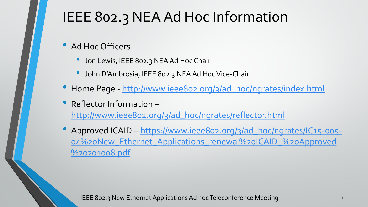## IEEE 802.3 NEA Ad Hoc Information

- Ad Hoc Officers
	- Jon Lewis, IEEE 802.3 NEA Ad Hoc Chair
	- John D'Ambrosia, IEEE 802.3 NEA Ad Hoc Vice-Chair
- Home Page [http://www.ieee802.org/3/ad\\_hoc/ngrates/index.html](http://www.ieee802.org/3/ad_hoc/ngrates/index.html)
- Reflector Information [http://www.ieee802.org/3/ad\\_hoc/ngrates/reflector.html](http://www.ieee802.org/3/ad_hoc/ngrates/reflector.html)
- Approved ICAID https://www.ieee802.org/3/ad\_hoc/ngrates/IC15-005- [04%20New\\_Ethernet\\_Applications\\_renewal%20ICAID\\_%20Approved](https://www.ieee802.org/3/ad_hoc/ngrates/IC15-005-04%20New_Ethernet_Applications_renewal%20ICAID_%20Approved%20201008.pdf) %20201008.pdf

IEEE 802.3 New Ethernet Applications Ad hoc Teleconference Meeting 1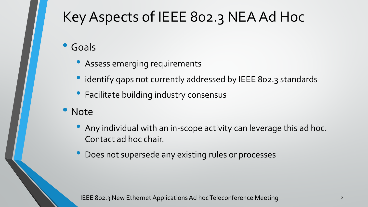# Key Aspects of IEEE 802.3 NEA Ad Hoc

- Goals
	- Assess emerging requirements
	- identify gaps not currently addressed by IEEE 802.3 standards
	- Facilitate building industry consensus
- Note
	- Any individual with an in-scope activity can leverage this ad hoc. Contact ad hoc chair.
	- Does not supersede any existing rules or processes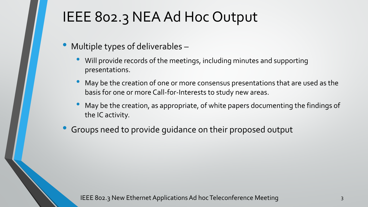## IEEE 802.3 NEA Ad Hoc Output

- Multiple types of deliverables
	- Will provide records of the meetings, including minutes and supporting presentations.
	- May be the creation of one or more consensus presentations that are used as the basis for one or more Call-for-Interests to study new areas.
	- May be the creation, as appropriate, of white papers documenting the findings of the IC activity.
- Groups need to provide guidance on their proposed output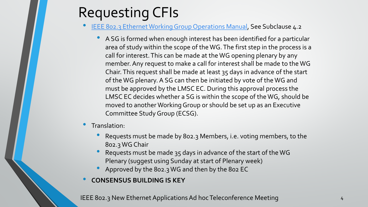### Requesting CFIs

- [IEEE 802.3 Ethernet Working Group Operations Manual](http://www.ieee802.org/3/rules/P802_3_OM_v6p1.pdf), See Subclause 4.2
	- A SG is formed when enough interest has been identified for a particular area of study within the scope of the WG. The first step in the process is a call for interest. This can be made at the WG opening plenary by any member. Any request to make a call for interest shall be made to the WG Chair. This request shall be made at least 35 days in advance of the start of the WG plenary. A SG can then be initiated by vote of the WG and must be approved by the LMSC EC. During this approval process the LMSC EC decides whether a SG is within the scope of the WG, should be moved to another Working Group or should be set up as an Executive Committee Study Group (ECSG).

#### • Translation:

- Requests must be made by 802.3 Members, i.e. voting members, to the 802.3 WG Chair
- Requests must be made 35 days in advance of the start of the WG Plenary (suggest using Sunday at start of Plenary week)
- Approved by the 802.3 WG and then by the 802 EC

#### • **CONSENSUS BUILDING IS KEY**

IEEE 802.3 New Ethernet Applications Ad hoc Teleconference Meeting 4